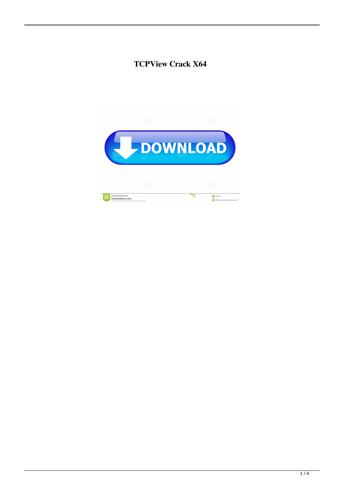# **TCPView Crack X64**

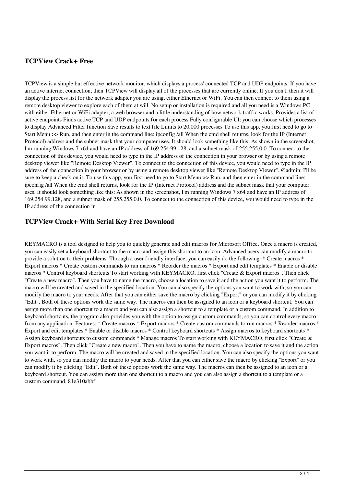### **TCPView Crack+ Free**

TCPView is a simple but effective network monitor, which displays a process' connected TCP and UDP endpoints. If you have an active internet connection, then TCPView will display all of the processes that are currently online. If you don't, then it will display the process list for the network adapter you are using, either Ethernet or WiFi. You can then connect to them using a remote desktop viewer to explore each of them at will. No setup or installation is required and all you need is a Windows PC with either Ethernet or WiFi adapter, a web browser and a little understanding of how network traffic works. Provides a list of active endpoints Finds active TCP and UDP endpoints for each process Fully configurable UI: you can choose which processes to display Advanced Filter function Save results to text file Limits to 20,000 processes To use this app, you first need to go to Start Menu >> Run, and then enter in the command line: ipconfig /all When the cmd shell returns, look for the IP (Internet Protocol) address and the subnet mask that your computer uses. It should look something like this: As shown in the screenshot, I'm running Windows 7 x64 and have an IP address of 169.254.99.128, and a subnet mask of 255.255.0.0. To connect to the connection of this device, you would need to type in the IP address of the connection in your browser or by using a remote desktop viewer like "Remote Desktop Viewer". To connect to the connection of this device, you would need to type in the IP address of the connection in your browser or by using a remote desktop viewer like "Remote Desktop Viewer". @admin: I'll be sure to keep a check on it. To use this app, you first need to go to Start Menu >> Run, and then enter in the command line: ipconfig /all When the cmd shell returns, look for the IP (Internet Protocol) address and the subnet mask that your computer uses. It should look something like this: As shown in the screenshot, I'm running Windows 7 x64 and have an IP address of 169.254.99.128, and a subnet mask of 255.255.0.0. To connect to the connection of this device, you would need to type in the IP address of the connection in

#### **TCPView Crack+ With Serial Key Free Download**

KEYMACRO is a tool designed to help you to quickly generate and edit macros for Microsoft Office. Once a macro is created, you can easily set a keyboard shortcut to the macro and assign this shortcut to an icon. Advanced users can modify a macro to provide a solution to their problems. Through a user friendly interface, you can easily do the following: \* Create macros \* Export macros \* Create custom commands to run macros \* Reorder the macros \* Export and edit templates \* Enable or disable macros \* Control keyboard shortcuts To start working with KEYMACRO, first click "Create & Export macros". Then click "Create a new macro". Then you have to name the macro, choose a location to save it and the action you want it to perform. The macro will be created and saved in the specified location. You can also specify the options you want to work with, so you can modify the macro to your needs. After that you can either save the macro by clicking "Export" or you can modify it by clicking "Edit". Both of these options work the same way. The macros can then be assigned to an icon or a keyboard shortcut. You can assign more than one shortcut to a macro and you can also assign a shortcut to a template or a custom command. In addition to keyboard shortcuts, the program also provides you with the option to assign custom commands, so you can control every macro from any application. Features: \* Create macros \* Export macros \* Create custom commands to run macros \* Reorder macros \* Export and edit templates \* Enable or disable macros \* Control keyboard shortcuts \* Assign macros to keyboard shortcuts \* Assign keyboard shortcuts to custom commands \* Manage macros To start working with KEYMACRO, first click "Create & Export macros". Then click "Create a new macro". Then you have to name the macro, choose a location to save it and the action you want it to perform. The macro will be created and saved in the specified location. You can also specify the options you want to work with, so you can modify the macro to your needs. After that you can either save the macro by clicking "Export" or you can modify it by clicking "Edit". Both of these options work the same way. The macros can then be assigned to an icon or a keyboard shortcut. You can assign more than one shortcut to a macro and you can also assign a shortcut to a template or a custom command. 81e310abbf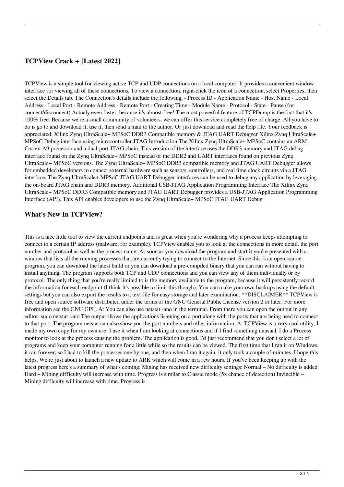## **TCPView Crack + [Latest 2022]**

TCPView is a simple tool for viewing active TCP and UDP connections on a local computer. It provides a convenient window interface for viewing all of these connections. To view a connection, right-click the icon of a connection, select Properties, then select the Details tab. The Connection's details include the following. - Process ID - Application Name - Host Name - Local Address - Local Port - Remote Address - Remote Port - Creating Time - Module Name - Protocol - State - Pause (for connect/disconnect) Actualy even faster, because it's almost free! The most powerful feature of TCPDump is the fact that it's 100% free. Because we're a small community of volunteers, we can offer this service completely free of charge. All you have to do is go to and download it, use it, then send a mail to the author. Or just download and read the help file. Your feedback is appreciated. Xilinx Zynq UltraScale+ MPSoC DDR3 Compatible memory & JTAG UART Debugger Xilinx Zynq UltraScale+ MPSoC Debug interface using microcontroller JTAG Introduction The Xilinx Zynq UltraScale+ MPSoC contains an ARM Cortex-A9 processor and a dual-port JTAG chain. This version of the interface uses the DDR3 memory and JTAG debug interface found on the Zynq UltraScale+ MPSoC instead of the DDR2 and UART interfaces found on previous Zynq UltraScale+ MPSoC versions. The Zynq UltraScale+ MPSoC DDR3 compatible memory and JTAG UART Debugger allows for embedded developers to connect external hardware such as sensors, controllers, and real time clock circuits via a JTAG interface. The Zynq UltraScale+ MPSoC JTAG UART Debugger interfaces can be used to debug any application by leveraging the on-board JTAG chain and DDR3 memory. Additional USB-JTAG Application Programming Interface The Xilinx Zynq UltraScale+ MPSoC DDR3 Compatible memory and JTAG UART Debugger provides a USB-JTAG Application Programming Interface (API). This API enables developers to use the Zynq UltraScale+ MPSoC JTAG UART Debug

#### **What's New In TCPView?**

This is a nice little tool to view the current endpoints and is great when you're wondering why a process keeps attempting to connect to a certain IP address (malware, for example). TCPView enables you to look at the connections in more detail, the port number and protocol as well as the process name. As soon as you download the program and start it you're presented with a window that lists all the running processes that are currently trying to connect to the Internet. Since this is an open source program, you can download the latest build or you can download a pre-compiled binary that you can run without having to install anything. The program supports both TCP and UDP connections and you can view any of them individually or by protocol. The only thing that you're really limited to is the memory available to the program, because it will persistently record the information for each endpoint (I think it's possible to limit this though). You can make your own backups using the default settings but you can also export the results to a text file for easy storage and later examination. \*\*DISCLAIMER\*\* TCPView is free and open source software distributed under the terms of the GNU General Public License version 2 or later. For more information see the GNU GPL. A: You can also use netstat -ano in the terminal. From there you can open the output in any editor. sudo netstat -ano The output shows the applications listening on a port along with the ports that are being used to connect to that port. The program netstat can also show you the port numbers and other information. A: TCPView is a very cool utility, I made my own copy for my own use. I use it when I am looking at connections and if I find something unusual, I do a Process monitor to look at the process causing the problem. The application is good, I'd just recommend that you don't select a lot of programs and keep your computer running for a little while so the results can be viewed. The first time that I ran it on Windows, it ran forever, so I had to kill the processes one by one, and then when I ran it again, it only took a couple of minutes. I hope this helps. We're just about to launch a new update to ARK which will come in a few hours. If you've been keeping up with the latest progress here's a summary of what's coming: Mining has received new difficulty settings: Normal – No difficulty is added Hard – Mining difficulty will increase with time. Progress is similar to Classic mode (5x chance of detection) Invincible – Mining difficulty will increase with time. Progress is